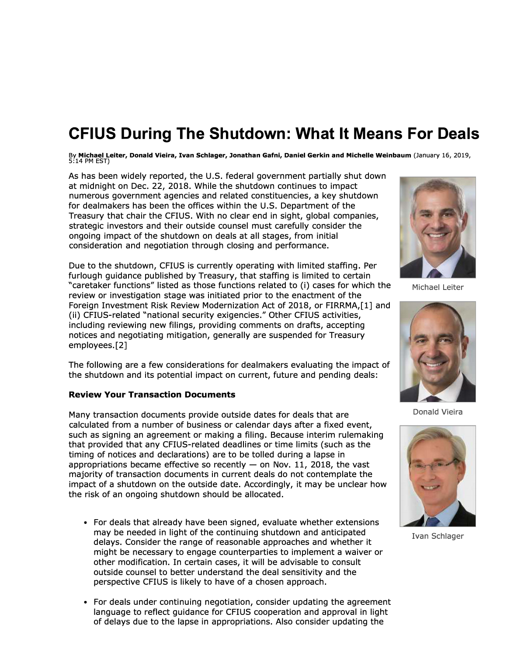# **CFIUS During The Shutdown: What It Means For Deals**

By Mi<mark>chael Leiter, Donald Vieira, Ivan Schlager, Jonathan Gafni, Daniel Gerkin and Michelle Weinbaum</mark> (January 16, 2019,<br>5:14 PM EST)

As has been widely reported, the U.S. federal government partially shut down at midnight on Dec. 22, 2018. While the shutdown continues to impact numerous government agencies and related constituencies, a key shutdown for dealmakers has been the offices within the U.S. Department of the Treasury that chair the CFIUS. With no clear end in sight, global companies, strategic investors and their outside counsel must carefully consider the ongoing impact of the shutdown on deals at all stages, from initial consideration and negotiation through closing and performance.

Due to the shutdown, CFIUS is currently operating with limited staffing. Per furlough guidance published by Treasury, that staffing is limited to certain "caretaker functions" listed as those functions related to (i) cases for which the review or investigation stage was initiated prior to the enactment of the Foreign Investment Risk Review Modernization Act of 2018, or FIRRMA,[1] and (ii) CFIUS-related "national security exigencies." Other CFIUS activities, including reviewing new filings, providing comments on drafts, accepting notices and negotiating mitigation, generally are suspended for Treasury employees. [2]

The following are a few considerations for dealmakers evaluating the impact of the shutdown and its potential impact on current, future and pending deals:

#### **Review Your Transaction Documents**

Many transaction documents provide outside dates for deals that are calculated from a number of business or calendar days after a fixed event, such as signing an agreement or making a filing. Because interim rulemaking that provided that any CFIUS-related deadlines or time limits (such as the timing of notices and declarations) are to be tolled during a lapse in appropriations became effective so recently  $-$  on Nov. 11, 2018, the vast majority of transaction documents in current deals do not contemplate the impact of a shutdown on the outside date. Accordingly, it may be unclear how the risk of an ongoing shutdown should be allocated.

- For deals that already have been signed, evaluate whether extensions may be needed in light of the continuing shutdown and anticipated delays. Consider the range of reasonable approaches and whether it might be necessary to engage counterparties to implement a waiver or other modification. In certain cases, it will be advisable to consult outside counsel to better understand the deal sensitivity and the perspective CFIUS is likely to have of a chosen approach.
- For deals under continuing negotiation, consider updating the agreement language to reflect guidance for CFIUS cooperation and approval in light of delays due to the lapse in appropriations. Also consider updating the



Michael Leiter



Donald Vieira



Ivan Schlager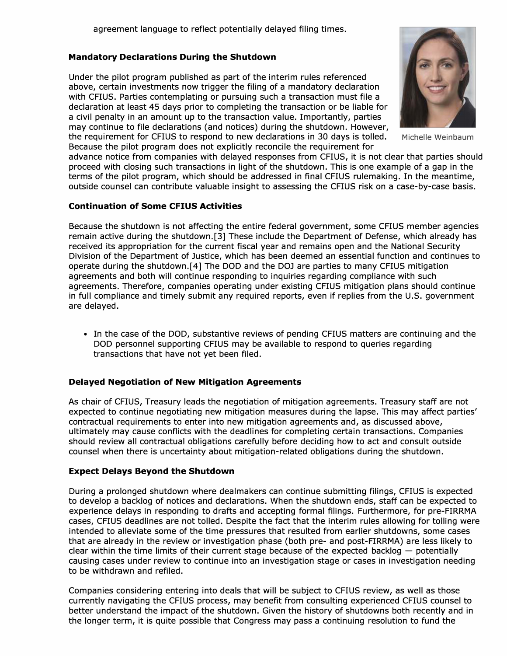# **Mandatory Declarations During the Shutdown**

Under the pilot program published as part of the interim rules referenced above, certain investments now trigger the filing of a mandatory declaration with CFIUS. Parties contemplating or pursuing such a transaction must file a declaration at least 45 days prior to completing the transaction or be liable for a civil penalty in an amount up to the transaction value. Importantly, parties may continue to file declarations (and notices) during the shutdown. However, the requirement for CFIUS to respond to new declarations in 30 days is tolled. Michelle Weinbaum

Because the pilot program does not explicitly reconcile the requirement for

advance notice from companies with delayed responses from CFIUS, it is not clear that parties should proceed with closing such transactions in light of the shutdown. This is one example of a gap in the terms of the pilot program, which should be addressed in final CFIUS rulemaking. In the meantime, outside counsel can contribute valuable insight to assessing the CFIUS risk on a case-by-case basis.

#### **Continuation of Some CFIUS Activities**

Because the shutdown is not affecting the entire federal government, some CFIUS member agencies remain active during the shutdown.[3] These include the Department of Defense, which already has received its appropriation for the current fiscal year and remains open and the National Security Division of the Department of Justice, which has been deemed an essential function and continues to operate during the shutdown.[4] The DOD and the DOJ are parties to many CFIUS mitigation agreements and both will continue responding to inquiries regarding compliance with such agreements. Therefore, companies operating under existing CFIUS mitigation plans should continue in full compliance and timely submit any required reports, even if replies from the U.S. government are delayed.

• In the case of the DOD, substantive reviews of pending CFIUS matters are continuing and the DOD personnel supporting CFIUS may be available to respond to queries regarding transactions that have not yet been filed.

## **Delayed Negotiation of New Mitigation Agreements**

As chair of CFIUS, Treasury leads the negotiation of mitigation agreements. Treasury staff are not expected to continue negotiating new mitigation measures during the lapse. This may affect parties' contractual requirements to enter into new mitigation agreements and, as discussed above, ultimately may cause conflicts with the deadlines for completing certain transactions. Companies should review all contractual obligations carefully before deciding how to act and consult outside counsel when there is uncertainty about mitigation-related obligations during the shutdown.

## **Expect Delays Beyond the Shutdown**

During a prolonged shutdown where dealmakers can continue submitting filings, CFIUS is expected to develop a backlog of notices and declarations. When the shutdown ends, staff can be expected to experience delays in responding to drafts and accepting formal filings. Furthermore, for pre-FIRRMA cases, CFIUS deadlines are not tolled. Despite the fact that the interim rules allowing for tolling were intended to alleviate some of the time pressures that resulted from earlier shutdowns, some cases that are already in the review or investigation phase (both pre- and post-FIRRMA) are less likely to clear within the time limits of their current stage because of the expected backlog  $-$  potentially causing cases under review to continue into an investigation stage or cases in investigation needing to be withdrawn and refiled.

Companies considering entering into deals that will be subject to CFIUS review, as well as those currently navigating the CFIUS process, may benefit from consulting experienced CFIUS counsel to better understand the impact of the shutdown. Given the history of shutdowns both recently and in the longer term, it is quite possible that Congress may pass a continuing resolution to fund the